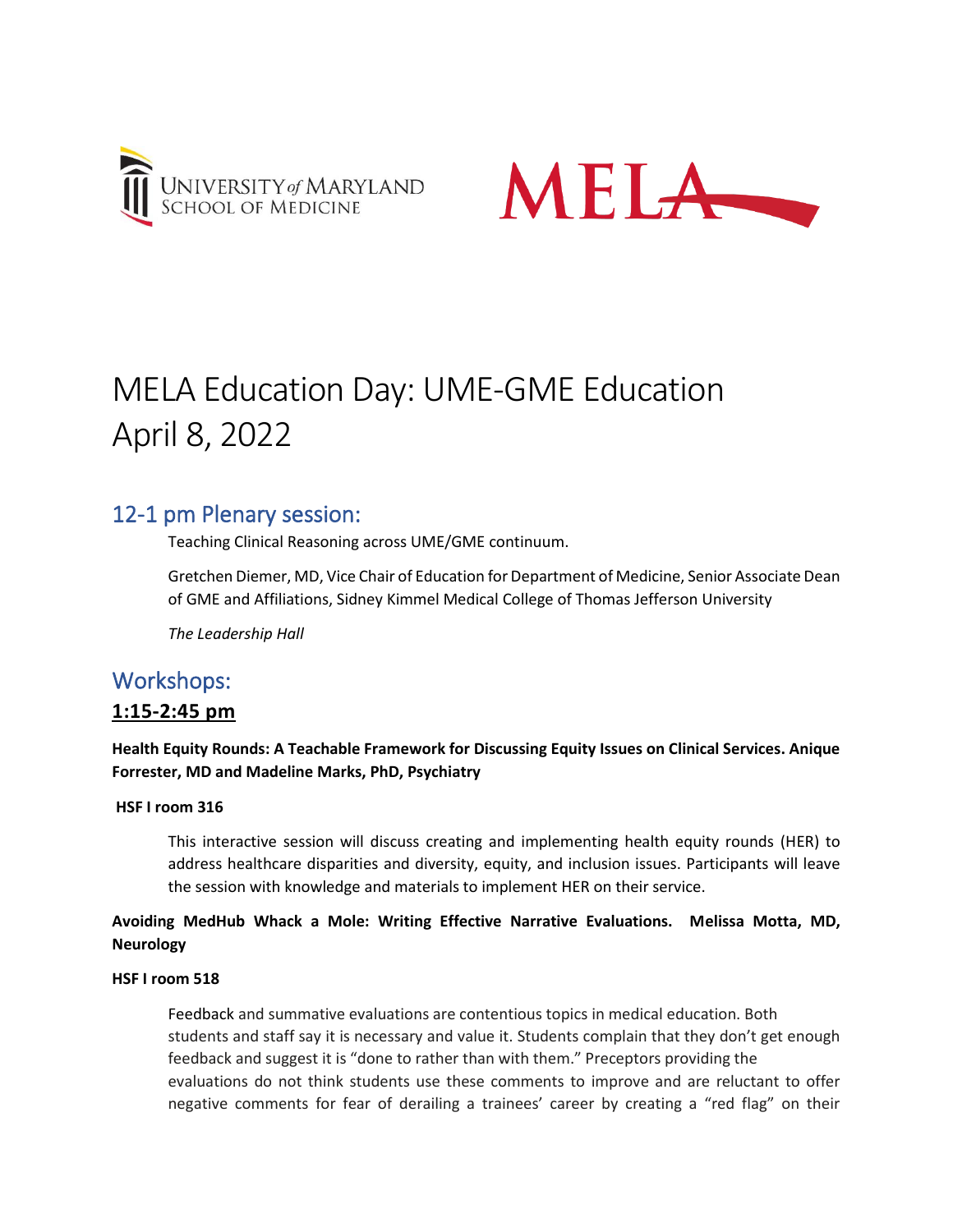



# MELA Education Day: UME-GME Education April 8, 2022

# 12-1 pm Plenary session:

Teaching Clinical Reasoning across UME/GME continuum.

Gretchen Diemer, MD, Vice Chair of Education for Department of Medicine, Senior Associate Dean of GME and Affiliations, Sidney Kimmel Medical College of Thomas Jefferson University

*The Leadership Hall*

# Workshops:

# **1:15-2:45 pm**

# **Health Equity Rounds: A Teachable Framework for Discussing Equity Issues on Clinical Services. Anique Forrester, MD and Madeline Marks, PhD, Psychiatry**

#### **HSF I room 316**

This interactive session will discuss creating and implementing health equity rounds (HER) to address healthcare disparities and diversity, equity, and inclusion issues. Participants will leave the session with knowledge and materials to implement HER on their service.

# **Avoiding MedHub Whack a Mole: Writing Effective Narrative Evaluations. Melissa Motta, MD, Neurology**

#### **HSF I room 518**

Feedback and summative evaluations are contentious topics in medical education. Both students and staff say it is necessary and value it. Students complain that they don't get enough feedback and suggest it is "done to rather than with them." Preceptors providing the evaluations do not think students use these comments to improve and are reluctant to offer negative comments for fear of derailing a trainees' career by creating a "red flag" on their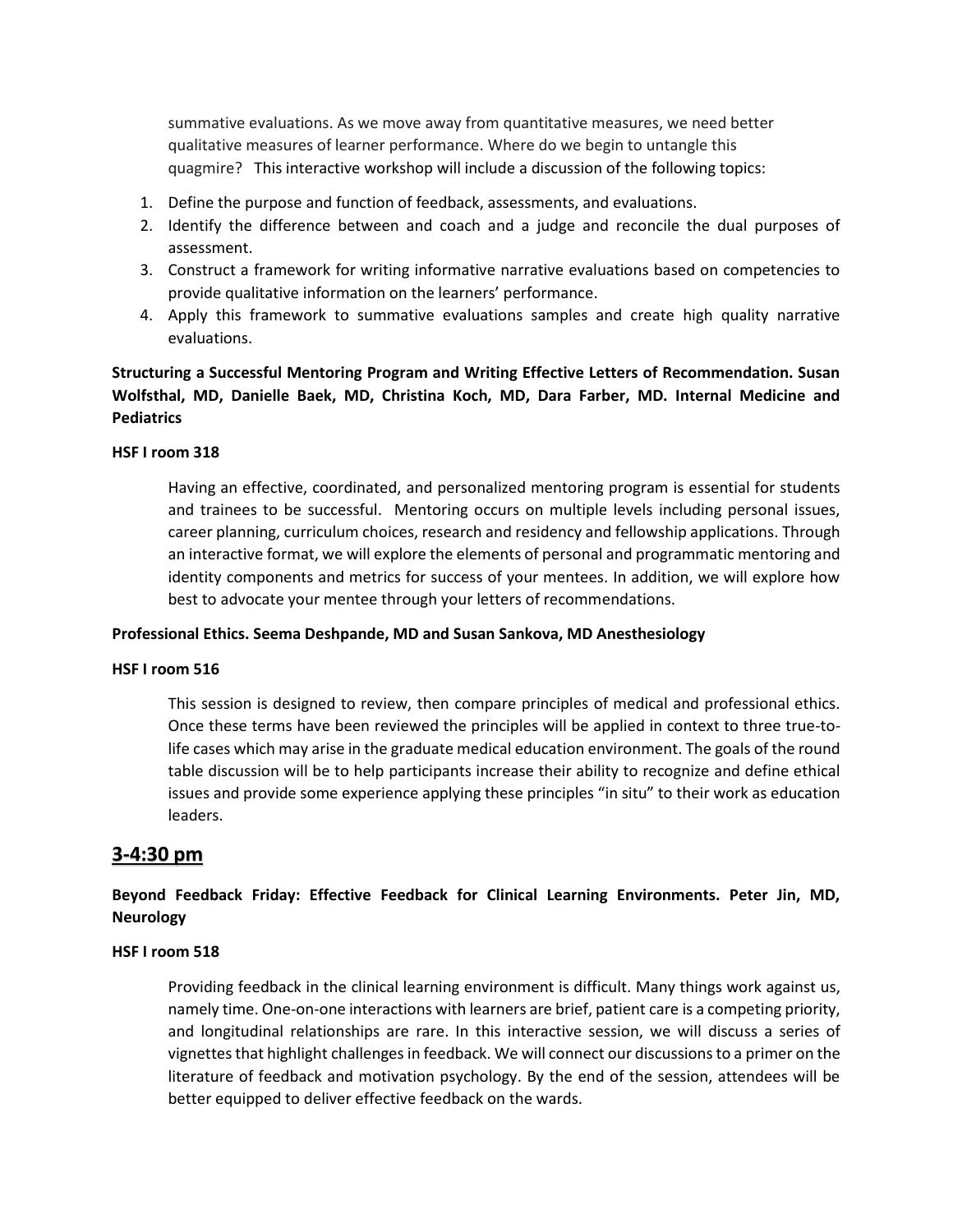summative evaluations. As we move away from quantitative measures, we need better qualitative measures of learner performance. Where do we begin to untangle this quagmire? This interactive workshop will include a discussion of the following topics:

- 1. Define the purpose and function of feedback, assessments, and evaluations.
- 2. Identify the difference between and coach and a judge and reconcile the dual purposes of assessment.
- 3. Construct a framework for writing informative narrative evaluations based on competencies to provide qualitative information on the learners' performance.
- 4. Apply this framework to summative evaluations samples and create high quality narrative evaluations.

**Structuring a Successful Mentoring Program and Writing Effective Letters of Recommendation. Susan Wolfsthal, MD, Danielle Baek, MD, Christina Koch, MD, Dara Farber, MD. Internal Medicine and Pediatrics** 

#### **HSF I room 318**

Having an effective, coordinated, and personalized mentoring program is essential for students and trainees to be successful. Mentoring occurs on multiple levels including personal issues, career planning, curriculum choices, research and residency and fellowship applications. Through an interactive format, we will explore the elements of personal and programmatic mentoring and identity components and metrics for success of your mentees. In addition, we will explore how best to advocate your mentee through your letters of recommendations.

#### **Professional Ethics. Seema Deshpande, MD and Susan Sankova, MD Anesthesiology**

#### **HSF I room 516**

This session is designed to review, then compare principles of medical and professional ethics. Once these terms have been reviewed the principles will be applied in context to three true-tolife cases which may arise in the graduate medical education environment. The goals of the round table discussion will be to help participants increase their ability to recognize and define ethical issues and provide some experience applying these principles "in situ" to their work as education leaders.

## **3-4:30 pm**

# **Beyond Feedback Friday: Effective Feedback for Clinical Learning Environments. Peter Jin, MD, Neurology**

#### **HSF I room 518**

Providing feedback in the clinical learning environment is difficult. Many things work against us, namely time. One-on-one interactions with learners are brief, patient care is a competing priority, and longitudinal relationships are rare. In this interactive session, we will discuss a series of vignettes that highlight challenges in feedback. We will connect our discussions to a primer on the literature of feedback and motivation psychology. By the end of the session, attendees will be better equipped to deliver effective feedback on the wards.